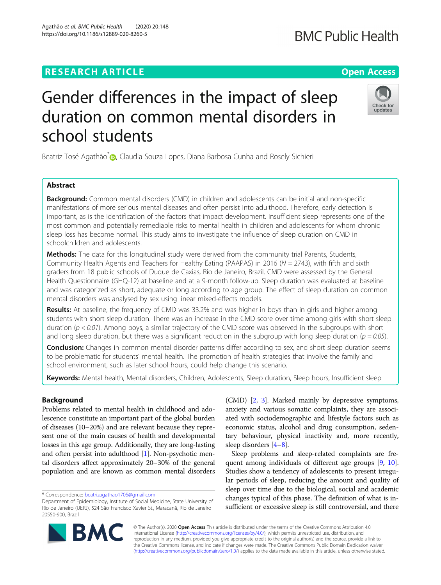# **RESEARCH ARTICLE Example 2014 12:30 The Contract of Contract ACCESS**

# Gender differences in the impact of sleep duration on common mental disorders in school students

Beatriz Tosé Agathão<sup>\*</sup> [,](http://orcid.org/0000-0003-3288-5504) Claudia Souza Lopes, Diana Barbosa Cunha and Rosely Sichieri

# Abstract

**Background:** Common mental disorders (CMD) in children and adolescents can be initial and non-specific manifestations of more serious mental diseases and often persist into adulthood. Therefore, early detection is important, as is the identification of the factors that impact development. Insufficient sleep represents one of the most common and potentially remediable risks to mental health in children and adolescents for whom chronic sleep loss has become normal. This study aims to investigate the influence of sleep duration on CMD in schoolchildren and adolescents.

Methods: The data for this longitudinal study were derived from the community trial Parents, Students, Community Health Agents and Teachers for Healthy Eating (PAAPAS) in 2016 (N = 2743), with fifth and sixth graders from 18 public schools of Duque de Caxias, Rio de Janeiro, Brazil. CMD were assessed by the General Health Questionnaire (GHQ-12) at baseline and at a 9-month follow-up. Sleep duration was evaluated at baseline and was categorized as short, adequate or long according to age group. The effect of sleep duration on common mental disorders was analysed by sex using linear mixed-effects models.

Results: At baseline, the frequency of CMD was 33.2% and was higher in boys than in girls and higher among students with short sleep duration. There was an increase in the CMD score over time among girls with short sleep duration ( $p < 0.01$ ). Among boys, a similar trajectory of the CMD score was observed in the subgroups with short and long sleep duration, but there was a significant reduction in the subgroup with long sleep duration ( $p = 0.05$ ).

Conclusion: Changes in common mental disorder patterns differ according to sex, and short sleep duration seems to be problematic for students' mental health. The promotion of health strategies that involve the family and school environment, such as later school hours, could help change this scenario.

Keywords: Mental health, Mental disorders, Children, Adolescents, Sleep duration, Sleep hours, Insufficient sleep

## Background

Problems related to mental health in childhood and adolescence constitute an important part of the global burden of diseases (10–20%) and are relevant because they represent one of the main causes of health and developmental losses in this age group. Additionally, they are long-lasting and often persist into adulthood [\[1\]](#page-7-0). Non-psychotic mental disorders affect approximately 20–30% of the general population and are known as common mental disorders

\* Correspondence: [beatrizagathao1705@gmail.com](mailto:beatrizagathao1705@gmail.com)

(CMD) [\[2](#page-7-0), [3\]](#page-7-0). Marked mainly by depressive symptoms, anxiety and various somatic complaints, they are associated with sociodemographic and lifestyle factors such as economic status, alcohol and drug consumption, sedentary behaviour, physical inactivity and, more recently, sleep disorders [[4](#page-7-0)–[8](#page-7-0)].

Sleep problems and sleep-related complaints are fre-quent among individuals of different age groups [[9](#page-7-0), [10](#page-7-0)]. Studies show a tendency of adolescents to present irregular periods of sleep, reducing the amount and quality of sleep over time due to the biological, social and academic changes typical of this phase. The definition of what is insufficient or excessive sleep is still controversial, and there

© The Author(s). 2020 **Open Access** This article is distributed under the terms of the Creative Commons Attribution 4.0 International License [\(http://creativecommons.org/licenses/by/4.0/](http://creativecommons.org/licenses/by/4.0/)), which permits unrestricted use, distribution, and reproduction in any medium, provided you give appropriate credit to the original author(s) and the source, provide a link to the Creative Commons license, and indicate if changes were made. The Creative Commons Public Domain Dedication waiver [\(http://creativecommons.org/publicdomain/zero/1.0/](http://creativecommons.org/publicdomain/zero/1.0/)) applies to the data made available in this article, unless otherwise stated.





# **BMC Public Health**

Department of Epidemiology, Institute of Social Medicine, State University of Rio de Janeiro (UERJ), 524 São Francisco Xavier St., Maracanã, Rio de Janeiro 20550-900, Brazil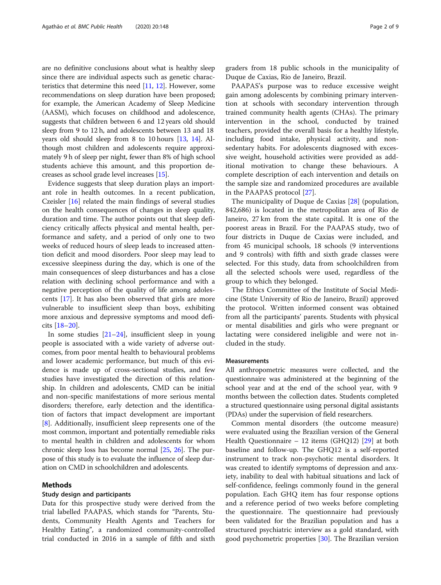are no definitive conclusions about what is healthy sleep since there are individual aspects such as genetic characteristics that determine this need [[11](#page-7-0), [12](#page-7-0)]. However, some recommendations on sleep duration have been proposed; for example, the American Academy of Sleep Medicine (AASM), which focuses on childhood and adolescence, suggests that children between 6 and 12 years old should sleep from 9 to 12 h, and adolescents between 13 and 18 years old should sleep from 8 to 10 hours [\[13,](#page-7-0) [14\]](#page-7-0). Although most children and adolescents require approximately 9 h of sleep per night, fewer than 8% of high school students achieve this amount, and this proportion decreases as school grade level increases [[15](#page-7-0)].

Evidence suggests that sleep duration plays an important role in health outcomes. In a recent publication, Czeisler [[16](#page-7-0)] related the main findings of several studies on the health consequences of changes in sleep quality, duration and time. The author points out that sleep deficiency critically affects physical and mental health, performance and safety, and a period of only one to two weeks of reduced hours of sleep leads to increased attention deficit and mood disorders. Poor sleep may lead to excessive sleepiness during the day, which is one of the main consequences of sleep disturbances and has a close relation with declining school performance and with a negative perception of the quality of life among adolescents [[17](#page-7-0)]. It has also been observed that girls are more vulnerable to insufficient sleep than boys, exhibiting more anxious and depressive symptoms and mood deficits [[18](#page-7-0)–[20](#page-7-0)].

In some studies [\[21](#page-7-0)–[24\]](#page-7-0), insufficient sleep in young people is associated with a wide variety of adverse outcomes, from poor mental health to behavioural problems and lower academic performance, but much of this evidence is made up of cross-sectional studies, and few studies have investigated the direction of this relationship. In children and adolescents, CMD can be initial and non-specific manifestations of more serious mental disorders; therefore, early detection and the identification of factors that impact development are important [[8\]](#page-7-0). Additionally, insufficient sleep represents one of the most common, important and potentially remediable risks to mental health in children and adolescents for whom chronic sleep loss has become normal [[25](#page-7-0), [26\]](#page-7-0). The purpose of this study is to evaluate the influence of sleep duration on CMD in schoolchildren and adolescents.

### Methods

#### Study design and participants

Data for this prospective study were derived from the trial labelled PAAPAS, which stands for "Parents, Students, Community Health Agents and Teachers for Healthy Eating", a randomized community-controlled trial conducted in 2016 in a sample of fifth and sixth graders from 18 public schools in the municipality of Duque de Caxias, Rio de Janeiro, Brazil.

PAAPAS's purpose was to reduce excessive weight gain among adolescents by combining primary intervention at schools with secondary intervention through trained community health agents (CHAs). The primary intervention in the school, conducted by trained teachers, provided the overall basis for a healthy lifestyle, including food intake, physical activity, and nonsedentary habits. For adolescents diagnosed with excessive weight, household activities were provided as additional motivation to change these behaviours. A complete description of each intervention and details on the sample size and randomized procedures are available in the PAAPAS protocol [[27\]](#page-7-0).

The municipality of Duque de Caxias [\[28\]](#page-7-0) (population, 842,686) is located in the metropolitan area of Rio de Janeiro, 27 km from the state capital. It is one of the poorest areas in Brazil. For the PAAPAS study, two of four districts in Duque de Caxias were included, and from 45 municipal schools, 18 schools (9 interventions and 9 controls) with fifth and sixth grade classes were selected. For this study, data from schoolchildren from all the selected schools were used, regardless of the group to which they belonged.

The Ethics Committee of the Institute of Social Medicine (State University of Rio de Janeiro, Brazil) approved the protocol. Written informed consent was obtained from all the participants' parents. Students with physical or mental disabilities and girls who were pregnant or lactating were considered ineligible and were not included in the study.

#### Measurements

All anthropometric measures were collected, and the questionnaire was administered at the beginning of the school year and at the end of the school year, with 9 months between the collection dates. Students completed a structured questionnaire using personal digital assistants (PDAs) under the supervision of field researchers.

Common mental disorders (the outcome measure) were evaluated using the Brazilian version of the General Health Questionnaire – 12 items (GHQ12) [[29\]](#page-7-0) at both baseline and follow-up. The GHQ12 is a self-reported instrument to track non-psychotic mental disorders. It was created to identify symptoms of depression and anxiety, inability to deal with habitual situations and lack of self-confidence, feelings commonly found in the general population. Each GHQ item has four response options and a reference period of two weeks before completing the questionnaire. The questionnaire had previously been validated for the Brazilian population and has a structured psychiatric interview as a gold standard, with good psychometric properties [[30\]](#page-7-0). The Brazilian version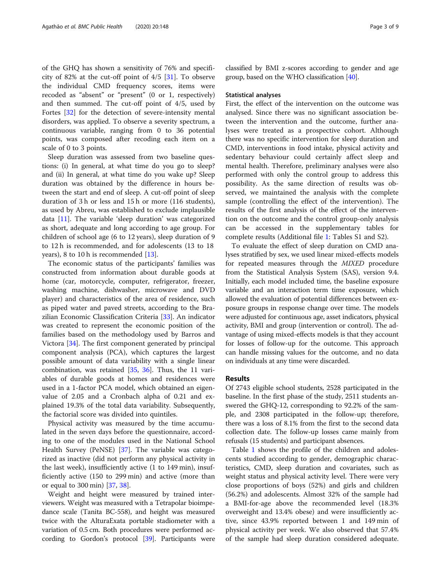of the GHQ has shown a sensitivity of 76% and specificity of 82% at the cut-off point of  $4/5$  [[31\]](#page-7-0). To observe the individual CMD frequency scores, items were recoded as "absent" or "present" (0 or 1, respectively) and then summed. The cut-off point of 4/5, used by Fortes [\[32](#page-7-0)] for the detection of severe-intensity mental disorders, was applied. To observe a severity spectrum, a continuous variable, ranging from 0 to 36 potential points, was composed after recoding each item on a scale of 0 to 3 points.

Sleep duration was assessed from two baseline questions: (i) In general, at what time do you go to sleep? and (ii) In general, at what time do you wake up? Sleep duration was obtained by the difference in hours between the start and end of sleep. A cut-off point of sleep duration of 3 h or less and 15 h or more (116 students), as used by Abreu, was established to exclude implausible data [\[11](#page-7-0)]. The variable 'sleep duration' was categorized as short, adequate and long according to age group. For children of school age (6 to 12 years), sleep duration of 9 to 12 h is recommended, and for adolescents (13 to 18 years), 8 to 10 h is recommended [[13\]](#page-7-0).

The economic status of the participants' families was constructed from information about durable goods at home (car, motorcycle, computer, refrigerator, freezer, washing machine, dishwasher, microwave and DVD player) and characteristics of the area of residence, such as piped water and paved streets, according to the Brazilian Economic Classification Criteria [\[33](#page-7-0)]. An indicator was created to represent the economic position of the families based on the methodology used by Barros and Victora [[34\]](#page-7-0). The first component generated by principal component analysis (PCA), which captures the largest possible amount of data variability with a single linear combination, was retained [[35](#page-7-0), [36](#page-7-0)]. Thus, the 11 variables of durable goods at homes and residences were used in a 1-factor PCA model, which obtained an eigenvalue of 2.05 and a Cronbach alpha of 0.21 and explained 19.3% of the total data variability. Subsequently, the factorial score was divided into quintiles.

Physical activity was measured by the time accumulated in the seven days before the questionnaire, according to one of the modules used in the National School Health Survey (PeNSE) [\[37](#page-7-0)]. The variable was categorized as inactive (did not perform any physical activity in the last week), insufficiently active (1 to 149 min), insufficiently active (150 to 299 min) and active (more than or equal to 300 min) [[37](#page-7-0), [38](#page-7-0)].

Weight and height were measured by trained interviewers. Weight was measured with a Tetrapolar bioimpedance scale (Tanita BC-558), and height was measured twice with the AlturaExata portable stadiometer with a variation of 0.5 cm. Both procedures were performed according to Gordon's protocol [\[39\]](#page-7-0). Participants were classified by BMI z-scores according to gender and age group, based on the WHO classification [\[40\]](#page-7-0).

#### Statistical analyses

First, the effect of the intervention on the outcome was analysed. Since there was no significant association between the intervention and the outcome, further analyses were treated as a prospective cohort. Although there was no specific intervention for sleep duration and CMD, interventions in food intake, physical activity and sedentary behaviour could certainly affect sleep and mental health. Therefore, preliminary analyses were also performed with only the control group to address this possibility. As the same direction of results was observed, we maintained the analysis with the complete sample (controlling the effect of the intervention). The results of the first analysis of the effect of the intervention on the outcome and the control group-only analysis can be accessed in the supplementary tables for complete results (Additional file [1](#page-6-0): Tables S1 and S2).

To evaluate the effect of sleep duration on CMD analyses stratified by sex, we used linear mixed-effects models for repeated measures through the MIXED procedure from the Statistical Analysis System (SAS), version 9.4. Initially, each model included time, the baseline exposure variable and an interaction term time exposure, which allowed the evaluation of potential differences between exposure groups in response change over time. The models were adjusted for continuous age, asset indicators, physical activity, BMI and group (intervention or control). The advantage of using mixed-effects models is that they account for losses of follow-up for the outcome. This approach can handle missing values for the outcome, and no data on individuals at any time were discarded.

#### Results

Of 2743 eligible school students, 2528 participated in the baseline. In the first phase of the study, 2511 students answered the GHQ-12, corresponding to 92.2% of the sample, and 2308 participated in the follow-up; therefore, there was a loss of 8.1% from the first to the second data collection date. The follow-up losses came mainly from refusals (15 students) and participant absences.

Table [1](#page-3-0) shows the profile of the children and adolescents studied according to gender, demographic characteristics, CMD, sleep duration and covariates, such as weight status and physical activity level. There were very close proportions of boys (52%) and girls and children (56.2%) and adolescents. Almost 32% of the sample had a BMI-for-age above the recommended level (18.3% overweight and 13.4% obese) and were insufficiently active, since 43.9% reported between 1 and 149 min of physical activity per week. We also observed that 57.4% of the sample had sleep duration considered adequate.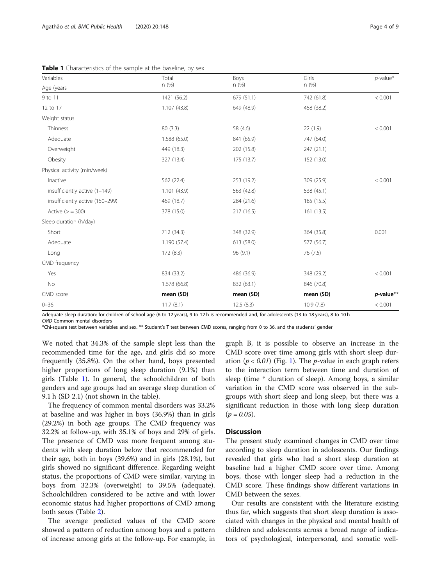<span id="page-3-0"></span>Table 1 Characteristics of the sample at the baseline, by sex

| Variables                       | Total        | Boys       | Girls      | $p$ -value*  |  |
|---------------------------------|--------------|------------|------------|--------------|--|
| Age (years                      | n (%)        | n(%)       | n(%)       |              |  |
| 9 to 11                         | 1421 (56.2)  | 679 (51.1) | 742 (61.8) | < 0.001      |  |
| 12 to 17                        | 1.107(43.8)  | 649 (48.9) | 458 (38.2) |              |  |
| Weight status                   |              |            |            |              |  |
| Thinness                        | 80 (3.3)     | 58 (4.6)   | 22(1.9)    | < 0.001      |  |
| Adequate                        | 1.588 (65.0) | 841 (65.9) | 747 (64.0) |              |  |
| Overweight                      | 449 (18.3)   | 202 (15.8) | 247 (21.1) |              |  |
| Obesity                         | 327 (13.4)   | 175 (13.7) | 152 (13.0) |              |  |
| Physical activity (min/week)    |              |            |            |              |  |
| Inactive                        | 562 (22.4)   | 253 (19.2) | 309 (25.9) | < 0.001      |  |
| insufficiently active (1-149)   | 1.101(43.9)  | 563 (42.8) | 538 (45.1) |              |  |
| insufficiently active (150-299) | 469 (18.7)   | 284 (21.6) | 185 (15.5) |              |  |
| Active $(>=300)$                | 378 (15.0)   | 217 (16.5) | 161(13.5)  |              |  |
| Sleep duration (h/day)          |              |            |            |              |  |
| Short                           | 712 (34.3)   | 348 (32.9) | 364 (35.8) | 0.001        |  |
| Adequate                        | 1.190(57.4)  | 613 (58.0) | 577 (56.7) |              |  |
| Long                            | 172(8.3)     | 96(9.1)    | 76 (7.5)   |              |  |
| CMD frequency                   |              |            |            |              |  |
| Yes                             | 834 (33.2)   | 486 (36.9) | 348 (29.2) | < 0.001      |  |
| No                              | 1.678 (66.8) | 832 (63.1) | 846 (70.8) |              |  |
| CMD score                       | mean (SD)    | mean (SD)  | mean (SD)  | $p$ -value** |  |
| $0 - 36$                        | 11.7(8.1)    | 12.5(8.3)  | 10.9(7.8)  | < 0.001      |  |

Adequate sleep duration: for children of school-age (6 to 12 years), 9 to 12 h is recommended and, for adolescents (13 to 18 years), 8 to 10 h

CMD Common mental disorders \*Chi-square test between variables and sex. \*\* Student's T test between CMD scores, ranging from 0 to 36, and the students' gender

We noted that 34.3% of the sample slept less than the recommended time for the age, and girls did so more frequently (35.8%). On the other hand, boys presented higher proportions of long sleep duration (9.1%) than girls (Table 1). In general, the schoolchildren of both genders and age groups had an average sleep duration of 9.1 h (SD 2.1) (not shown in the table).

The frequency of common mental disorders was 33.2% at baseline and was higher in boys (36.9%) than in girls (29.2%) in both age groups. The CMD frequency was 32.2% at follow-up, with 35.1% of boys and 29% of girls. The presence of CMD was more frequent among students with sleep duration below that recommended for their age, both in boys (39.6%) and in girls (28.1%), but girls showed no significant difference. Regarding weight status, the proportions of CMD were similar, varying in boys from 32.3% (overweight) to 39.5% (adequate). Schoolchildren considered to be active and with lower economic status had higher proportions of CMD among both sexes (Table [2](#page-4-0)).

The average predicted values of the CMD score showed a pattern of reduction among boys and a pattern of increase among girls at the follow-up. For example, in graph B, it is possible to observe an increase in the CMD score over time among girls with short sleep duration ( $p < 0.01$ ) (Fig. [1\)](#page-5-0). The *p*-value in each graph refers to the interaction term between time and duration of sleep (time \* duration of sleep). Among boys, a similar variation in the CMD score was observed in the subgroups with short sleep and long sleep, but there was a significant reduction in those with long sleep duration  $(p = 0.05)$ .

#### **Discussion**

The present study examined changes in CMD over time according to sleep duration in adolescents. Our findings revealed that girls who had a short sleep duration at baseline had a higher CMD score over time. Among boys, those with longer sleep had a reduction in the CMD score. These findings show different variations in CMD between the sexes.

Our results are consistent with the literature existing thus far, which suggests that short sleep duration is associated with changes in the physical and mental health of children and adolescents across a broad range of indicators of psychological, interpersonal, and somatic well-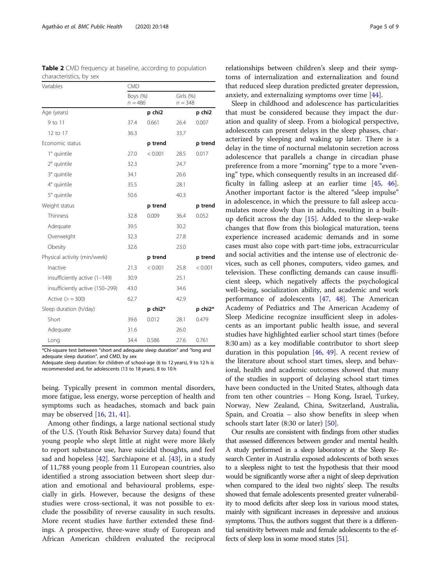| Variables                       | <b>CMD</b>               |         |                        |         |
|---------------------------------|--------------------------|---------|------------------------|---------|
|                                 | Boys $(\%)$<br>$n = 486$ |         | Girls (%)<br>$n = 348$ |         |
| Age (years)                     |                          | p chi2  |                        | p chi2  |
| 9 to 11                         | 37.4                     | 0.661   | 26.4                   | 0.007   |
| 12 to 17                        | 36.3                     |         | 33.7                   |         |
| Economic status                 |                          | p trend |                        | p trend |
| 1° quintile                     | 27.0                     | < 0.001 | 28.5                   | 0.017   |
| 2° quintile                     | 32.3                     |         | 24.7                   |         |
| 3° quintile                     | 34.1                     |         | 26.6                   |         |
| 4° quintile                     | 35.5                     |         | 28.1                   |         |
| 5° quintile                     | 50.6                     |         | 40.3                   |         |
| Weight status                   |                          | p trend |                        | p trend |
| Thinness                        | 32.8                     | 0.009   | 36.4                   | 0.052   |
| Adequate                        | 39.5                     |         | 30.2                   |         |
| Overweight                      | 32.3                     |         | 27.8                   |         |
| Obesity                         | 32.6                     |         | 23.0                   |         |
| Physical activity (min/week)    |                          | p trend |                        | p trend |
| Inactive                        | 21.3                     | < 0.001 | 25.8                   | < 0.001 |
| insufficiently active (1-149)   | 30.9                     |         | 25.1                   |         |
| insufficiently active (150-299) | 43.0                     |         | 34.6                   |         |
| Active $(>=300)$                | 62.7                     |         | 42.9                   |         |
| Sleep duration (h/day)          |                          | p chi2* |                        | p chi2* |
| Short                           | 39.6                     | 0.012   | 28.1                   | 0.479   |
| Adequate                        | 31.6                     |         | 26.0                   |         |
| Long                            | 34.4                     | 0.586   | 27.6                   | 0.761   |

\*Chi-square test between "short and adequate sleep duration" and "long and adequate sleep duration", and CMD, by sex

Adequate sleep duration: for children of school-age (6 to 12 years), 9 to 12 h is recommended and, for adolescents (13 to 18 years), 8 to 10 h

being. Typically present in common mental disorders, more fatigue, less energy, worse perception of health and symptoms such as headaches, stomach and back pain may be observed [\[16](#page-7-0), [21](#page-7-0), [41\]](#page-7-0).

Among other findings, a large national sectional study of the U.S. (Youth Risk Behavior Survey data) found that young people who slept little at night were more likely to report substance use, have suicidal thoughts, and feel sad and hopeless [[42\]](#page-7-0). Sarchiapone et al. [\[43\]](#page-7-0), in a study of 11,788 young people from 11 European countries, also identified a strong association between short sleep duration and emotional and behavioural problems, especially in girls. However, because the designs of these studies were cross-sectional, it was not possible to exclude the possibility of reverse causality in such results. More recent studies have further extended these findings. A prospective, three-wave study of European and African American children evaluated the reciprocal

relationships between children's sleep and their symptoms of internalization and externalization and found that reduced sleep duration predicted greater depression, anxiety, and externalizing symptoms over time [[44\]](#page-7-0).

Sleep in childhood and adolescence has particularities that must be considered because they impact the duration and quality of sleep. From a biological perspective, adolescents can present delays in the sleep phases, characterized by sleeping and waking up later. There is a delay in the time of nocturnal melatonin secretion across adolescence that parallels a change in circadian phase preference from a more "morning" type to a more "evening" type, which consequently results in an increased difficulty in falling asleep at an earlier time [[45,](#page-7-0) [46](#page-7-0)]. Another important factor is the altered "sleep impulse" in adolescence, in which the pressure to fall asleep accumulates more slowly than in adults, resulting in a builtup deficit across the day  $[15]$ . Added to the sleep-wake changes that flow from this biological maturation, teens experience increased academic demands and in some cases must also cope with part-time jobs, extracurricular and social activities and the intense use of electronic devices, such as cell phones, computers, video games, and television. These conflicting demands can cause insufficient sleep, which negatively affects the psychological well-being, socialization ability, and academic and work performance of adolescents [[47,](#page-7-0) [48](#page-8-0)]. The American Academy of Pediatrics and The American Academy of Sleep Medicine recognize insufficient sleep in adolescents as an important public health issue, and several studies have highlighted earlier school start times (before 8:30 am) as a key modifiable contributor to short sleep duration in this population [\[46](#page-7-0), [49\]](#page-8-0). A recent review of the literature about school start times, sleep, and behavioral, health and academic outcomes showed that many of the studies in support of delaying school start times have been conducted in the United States, although data from ten other countries – Hong Kong, Israel, Turkey, Norway, New Zealand, China, Switzerland, Australia, Spain, and Croatia – also show benefits in sleep when schools start later (8:30 or later) [\[50](#page-8-0)].

Our results are consistent with findings from other studies that assessed differences between gender and mental health. A study performed in a sleep laboratory at the Sleep Research Center in Australia exposed adolescents of both sexes to a sleepless night to test the hypothesis that their mood would be significantly worse after a night of sleep deprivation when compared to the ideal two nights' sleep. The results showed that female adolescents presented greater vulnerability to mood deficits after sleep loss in various mood states, mainly with significant increases in depressive and anxious symptoms. Thus, the authors suggest that there is a differential sensitivity between male and female adolescents to the effects of sleep loss in some mood states [\[51](#page-8-0)].

<span id="page-4-0"></span>Table 2 CMD frequency at baseline, according to population characteristics, by sex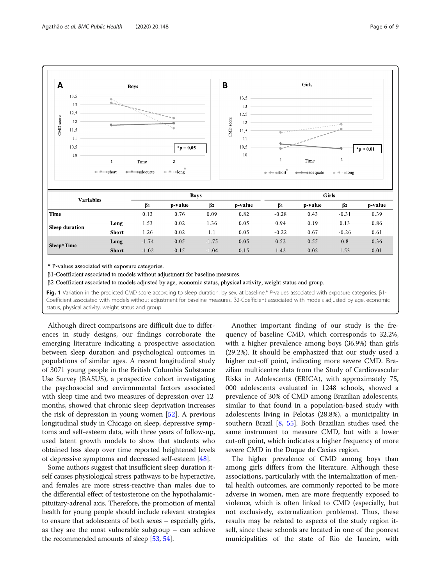<span id="page-5-0"></span>

\* P values associated with exposure categories.

 $\beta$ 1-Coefficient associated to models without adjustment for baseline measures.

β2-Coefficient associated to models adjusted by age, economic status, physical activity, weight status and group.

Fig. 1 Variation in the predicted CMD score according to sleep duration, by sex, at baseline.\* P-values associated with exposure categories. β1-Coefficient associated with models without adjustment for baseline measures. β2-Coefficient associated with models adjusted by age, economic status, physical activity, weight status and group

Although direct comparisons are difficult due to differences in study designs, our findings corroborate the emerging literature indicating a prospective association between sleep duration and psychological outcomes in populations of similar ages. A recent longitudinal study of 3071 young people in the British Columbia Substance Use Survey (BASUS), a prospective cohort investigating the psychosocial and environmental factors associated with sleep time and two measures of depression over 12 months, showed that chronic sleep deprivation increases the risk of depression in young women [[52\]](#page-8-0). A previous longitudinal study in Chicago on sleep, depressive symptoms and self-esteem data, with three years of follow-up, used latent growth models to show that students who obtained less sleep over time reported heightened levels of depressive symptoms and decreased self-esteem [[48](#page-8-0)].

Some authors suggest that insufficient sleep duration itself causes physiological stress pathways to be hyperactive, and females are more stress-reactive than males due to the differential effect of testosterone on the hypothalamicpituitary-adrenal axis. Therefore, the promotion of mental health for young people should include relevant strategies to ensure that adolescents of both sexes – especially girls, as they are the most vulnerable subgroup – can achieve the recommended amounts of sleep [[53](#page-8-0), [54\]](#page-8-0).

Another important finding of our study is the frequency of baseline CMD, which corresponds to 32.2%, with a higher prevalence among boys (36.9%) than girls (29.2%). It should be emphasized that our study used a higher cut-off point, indicating more severe CMD. Brazilian multicentre data from the Study of Cardiovascular Risks in Adolescents (ERICA), with approximately 75, 000 adolescents evaluated in 1248 schools, showed a prevalence of 30% of CMD among Brazilian adolescents, similar to that found in a population-based study with adolescents living in Pelotas (28.8%), a municipality in southern Brazil [[8,](#page-7-0) [55](#page-8-0)]. Both Brazilian studies used the same instrument to measure CMD, but with a lower cut-off point, which indicates a higher frequency of more severe CMD in the Duque de Caxias region.

The higher prevalence of CMD among boys than among girls differs from the literature. Although these associations, particularly with the internalization of mental health outcomes, are commonly reported to be more adverse in women, men are more frequently exposed to violence, which is often linked to CMD (especially, but not exclusively, externalization problems). Thus, these results may be related to aspects of the study region itself, since these schools are located in one of the poorest municipalities of the state of Rio de Janeiro, with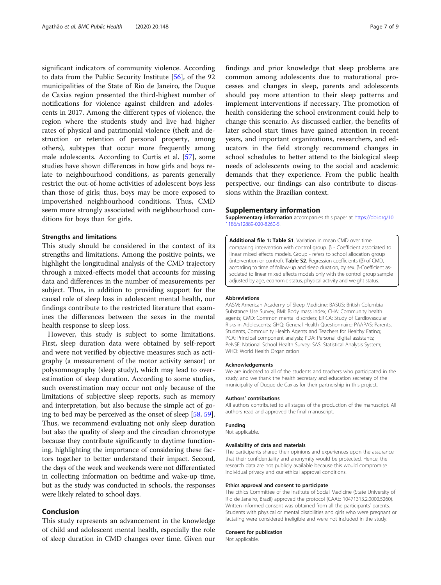<span id="page-6-0"></span>significant indicators of community violence. According to data from the Public Security Institute [[56](#page-8-0)], of the 92 municipalities of the State of Rio de Janeiro, the Duque de Caxias region presented the third-highest number of notifications for violence against children and adolescents in 2017. Among the different types of violence, the region where the students study and live had higher rates of physical and patrimonial violence (theft and destruction or retention of personal property, among others), subtypes that occur more frequently among male adolescents. According to Curtis et al. [[57\]](#page-8-0), some studies have shown differences in how girls and boys relate to neighbourhood conditions, as parents generally restrict the out-of-home activities of adolescent boys less than those of girls; thus, boys may be more exposed to impoverished neighbourhood conditions. Thus, CMD seem more strongly associated with neighbourhood conditions for boys than for girls.

#### Strengths and limitations

This study should be considered in the context of its strengths and limitations. Among the positive points, we highlight the longitudinal analysis of the CMD trajectory through a mixed-effects model that accounts for missing data and differences in the number of measurements per subject. Thus, in addition to providing support for the causal role of sleep loss in adolescent mental health, our findings contribute to the restricted literature that examines the differences between the sexes in the mental health response to sleep loss.

However, this study is subject to some limitations. First, sleep duration data were obtained by self-report and were not verified by objective measures such as actigraphy (a measurement of the motor activity sensor) or polysomnography (sleep study), which may lead to overestimation of sleep duration. According to some studies, such overestimation may occur not only because of the limitations of subjective sleep reports, such as memory and interpretation, but also because the simple act of going to bed may be perceived as the onset of sleep [\[58,](#page-8-0) [59](#page-8-0)]. Thus, we recommend evaluating not only sleep duration but also the quality of sleep and the circadian chronotype because they contribute significantly to daytime functioning, highlighting the importance of considering these factors together to better understand their impact. Second, the days of the week and weekends were not differentiated in collecting information on bedtime and wake-up time, but as the study was conducted in schools, the responses were likely related to school days.

### Conclusion

This study represents an advancement in the knowledge of child and adolescent mental health, especially the role of sleep duration in CMD changes over time. Given our

findings and prior knowledge that sleep problems are common among adolescents due to maturational processes and changes in sleep, parents and adolescents should pay more attention to their sleep patterns and implement interventions if necessary. The promotion of health considering the school environment could help to change this scenario. As discussed earlier, the benefits of later school start times have gained attention in recent years, and important organizations, researchers, and educators in the field strongly recommend changes in school schedules to better attend to the biological sleep needs of adolescents owing to the social and academic demands that they experience. From the public health perspective, our findings can also contribute to discussions within the Brazilian context.

#### Supplementary information

Supplementary information accompanies this paper at [https://doi.org/10.](https://doi.org/10.1186/s12889-020-8260-5) [1186/s12889-020-8260-5.](https://doi.org/10.1186/s12889-020-8260-5)

Additional file 1: Table S1 Variation in mean CMD over time comparing intervention with control group. β - Coefficient associated to linear mixed effects models. Group - refers to school allocation group (intervention or control). Table S2. Regression coefficients (β) of CMD, according to time of follow-up and sleep duration, by sex. β-Coefficient associated to linear mixed effects models only with the control group sample adjusted by age, economic status, physical activity and weight status.

#### Abbreviations

AASM: American Academy of Sleep Medicine; BASUS: British Columbia Substance Use Survey; BMI: Body mass index; CHA: Community health agents; CMD: Common mental disorders; ERICA: Study of Cardiovascular Risks in Adolescents; GHQ: General Health Questionnaire; PAAPAS: Parents, Students, Community Health Agents and Teachers for Healthy Eating; PCA: Principal component analysis; PDA: Personal digital assistants; PeNSE: National School Health Survey; SAS: Statistical Analysis System; WHO: World Health Organization

#### Acknowledgements

We are indebted to all of the students and teachers who participated in the study, and we thank the health secretary and education secretary of the municipality of Duque de Caxias for their partnership in this project.

#### Authors' contributions

All authors contributed to all stages of the production of the manuscript. All authors read and approved the final manuscript.

#### Funding

Not applicable.

#### Availability of data and materials

The participants shared their opinions and experiences upon the assurance that their confidentiality and anonymity would be protected. Hence, the research data are not publicly available because this would compromise individual privacy and our ethical approval conditions.

#### Ethics approval and consent to participate

The Ethics Committee of the Institute of Social Medicine (State University of Rio de Janeiro, Brazil) approved the protocol (CAAE: 10471313.2.0000.5260). Written informed consent was obtained from all the participants' parents. Students with physical or mental disabilities and girls who were pregnant or lactating were considered ineligible and were not included in the study.

#### Consent for publication

Not applicable.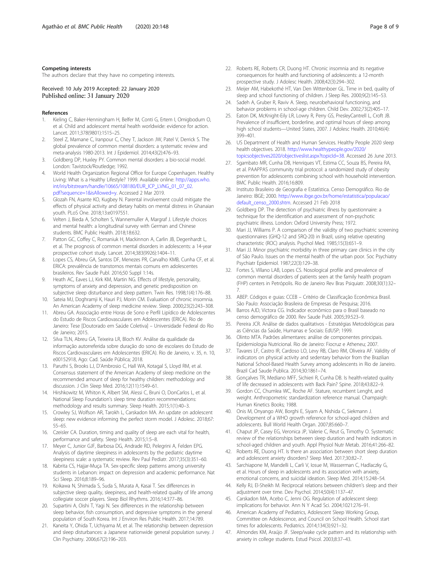#### <span id="page-7-0"></span>Competing interests

The authors declare that they have no competing interests.

Received: 10 July 2019 Accepted: 22 January 2020 Published online: 31 January 2020

#### References

- 1. Kieling C, Baker-Henningham H, Belfer M, Conti G, Ertem I, Omigbodum O, et al. Child and adolescent mental health worldwide: evidence for action. Lancet. 2011;378(9801):1515–25.
- Steel Z, Marnane C, Iranpour C, Chey T, Jackson JW, Patel V, Derrick S. The global prevalence of common mental disorders: a systematic review and meta-analysis 1980-2013. Int J Epidemiol. 2014;43(2):476–93.
- Goldberg DP, Huxley PY. Common mental disorders: a bio-social model. London: Tavistock/Routledge; 1992.
- 4. World Health Organization Regional Office for Europe Copenhagen. Healthy Living: What is a Healthy Lifestyle? 1999. Available online: [http://apps.who.](http://apps.who.int/iris/bitstream/handle/10665/108180/EUR_ICP_LVNG_01_07_02.pdf?sequence=1&isAllowed=y) [int/iris/bitstream/handle/10665/108180/EUR\\_ICP\\_LVNG\\_01\\_07\\_02.](http://apps.who.int/iris/bitstream/handle/10665/108180/EUR_ICP_LVNG_01_07_02.pdf?sequence=1&isAllowed=y) [pdf?sequence=1&isAllowed=y.](http://apps.who.int/iris/bitstream/handle/10665/108180/EUR_ICP_LVNG_01_07_02.pdf?sequence=1&isAllowed=y) Accessed 2 Mar 2019.
- 5. Glozah FN, Asante KO, Kugbey N. Parental involvement could mitigate the effects of physical activity and dietary habits on mental distress in Ghanaian youth. PLoS One. 2018;13:e0197551.
- 6. Velten J, Bieda A, Scholten S, Wannemuller A, Margraf J. Lifestyle choices and mental health: a longitudinal survey with German and Chinese students. BMC Public Health. 2018;18:632.
- Patton GC, Coffey C, Romaniuk H, Mackinnon A, Carlin JB, Degenhardt L, et al. The prognosis of common mental disorders in adolescents: a 14-year prospective cohort study. Lancet. 2014;383(9926):1404–11.
- 8. Lopes CS, Abreu GA, Santos DF, Menezes PR, Carvalho KMB, Cunha CF, et al. ERICA: prevalência de transtornos mentais comuns em adolescentes brasileiros. Rev Saude Publ. 2016;50 Suppl 1:14s.
- Heath AC, Eaves LJ, Kirk KM, Martin NG. Effects of lifestyle, personality, symptoms of anxiety and depression, and genetic predisposition on subjective sleep disturbance and sleep pattern. Twin Res. 1998;1(4):176–88.
- 10. Sateia MJ, Doghramji K, Hauri PJ, Morin CM. Evaluation of chronic insomnia. An American Academy of sleep medicine review. Sleep. 2000;23(2):243–308.
- 11. Abreu GA. Associação entre Horas de Sono e Perfil Lipídico de Adolescentes do Estudo de Riscos Cardiovasculares em Adolescentes (ERICA). Rio de Janeiro: Tese [Doutorado em Saúde Coletiva] – Universidade Federal do Rio de Janeiro; 2015.
- 12. Silva TLN, Abreu GA, Teixeira LR, Bloch KV. Análise da qualidade da informação autorreferida sobre duração do sono de escolares do Estudo de Riscos Cardiovasculares em Adolescentes (ERICA). Rio de Janeiro, v. 35, n. 10, e00152918, Ago: Cad. Saúde Pública; 2018.
- 13. Paruthi S, Brooks LJ, D'Ambrosio C, Hall WA, Kotagal S, Lloyd RM, et al. Consensus statement of the American Academy of sleep medicine on the recommended amount of sleep for healthy children: methodology and discussion. J Clin Sleep Med. 2016;12(11):1549–61.
- 14. Hirshkowitz M, Whiton K, Albert SM, Alessi C, Bruni O, DonCarlos L, et al. National Sleep Foundation's sleep time duration recommendations: methodology and results summary. Sleep Health. 2015;1(1):40–3.
- 15. Crowley SJ, Wolfson AR, Tarokh L, Carskadon MA. An update on adolescent sleep: new evidence informing the perfect storm model. J Adolesc. 2018;67: 55–65.
- 16. Czeisler CA. Duration, timing and quality of sleep are each vital for health, performance and safety. Sleep Health. 2015;1:5–8.
- 17. Meyer C, Junior GJF, Barbosa DG, Andrade RD, Pelegrini A, Felden EPG. Analysis of daytime sleepiness in adolescents by the pediatric daytime sleepiness scale: a systematic review. Rev Paul Pediatr. 2017;35(3):351–60.
- 18. Kabrita CS, Hajjar-Muça TA. Sex-specific sleep patterns among university students in Lebanon: impact on depression and academic performance. Nat Sci Sleep. 2016;8:189–96.
- 19. Koikawa N, Shimada S, Suda S, Murata A, Kasai T. Sex differences in subjective sleep quality, sleepiness, and health-related quality of life among collegiate soccer players. Sleep Biol Rhythms. 2016;14:377–86.
- 20. Supartini A, Oishi T, Yagi N. Sex differences in the relationship between sleep behavior, fish consumption, and depressive symptoms in the general population of South Korea. Int J Environ Res Public Health. 2017;14:789.
- 21. Kaneita Y, Ohida T, Uchiyama M, et al. The relationship between depression and sleep disturbances: a Japanese nationwide general population survey. J Clin Psychiatry. 2006;67(2):196–203.
- 22. Roberts RE, Roberts CR, Duong HT. Chronic insomnia and its negative consequences for health and functioning of adolescents: a 12-month prospective study. J Adolesc Health. 2008;42(3):294–302.
- 23. Meijer AM, Habekothé HT, Van Den Wittenboer GL. Time in bed, quality of sleep and school functioning of children. J Sleep Res. 2000;9(2):145–53.
- 24. Sadeh A, Gruber R, Raviv A. Sleep, neurobehavioral functioning, and behavior problems in school-age children. Child Dev. 2002;73(2):405–17.
- 25. Eaton DK, McKnight-Eily LR, Lowry R, Perry GS, PresleyCantrell L, Croft JB. Prevalence of insufficient, borderline, and optimal hours of sleep among high school students—United States, 2007. J Adolesc Health. 2010;46(4): 399–401.
- 26. US Department of Health and Human Services. Healthy People 2020 sleep health objectives. 2018. [http://www.healthypeople.gov/2020/](http://www.healthypeople.gov/2020/topicsobjectives2020/objectiveslist.aspx?topicId=38) [topicsobjectives2020/objectiveslist.aspx?topicId=38.](http://www.healthypeople.gov/2020/topicsobjectives2020/objectiveslist.aspx?topicId=38) Accessed 26 June 2013.
- 27. Sgambato MR, Cunha DB, Henriques VT, Estima CC, Souza BS, Pereira RA, et al. PAAPPAS community trial protocol: a randomized study of obesity
- prevention for adolescents combining school with household intervention. BMC Public Health. 2016;16:809. 28. Instituto Brasileiro de Geografia e Estatística. Censo Demográfico. Rio de
- Janeiro: IBGE; 2000. [http://www.ibge.gov.br/home/estatistica/populacao/](http://www.ibge.gov.br/home/estatistica/populacao/default_censo_2000.shtm) [default\\_censo\\_2000.shtm](http://www.ibge.gov.br/home/estatistica/populacao/default_censo_2000.shtm). Accessed 21 Feb 2018
- 29. Goldberg DP. The detection of psychiatric illness by questionnaire: a technique for the identification and assessment of non-psychotic psychiatric illness. London: Oxford University Press; 1972.
- 30. Mari JJ, Williams P. A comparison of the validity of two psychiatric screening questionnaires (GHQ-12 and SRQ-20) in Brazil, using relative operating characteristic (ROC) analysis. Psychol Med. 1985;15(3):651–9.
- 31. Mari JJ. Minor psychiatric morbidity in three primary care clinics in the city of São Paulo. Issues on the mental health of the urban poor. Soc Psychiatry Psychiatr Epidemiol. 1987;22(3):129–38.
- 32. Fortes S, Villano LAB, Lopes CS. Nosological profile and prevalence of common mental disorders of patients seen at the family health program (FHP) centers in Petrópolis. Rio de Janeiro Rev Bras Psiquiatr. 2008;30(1):32– 7.
- 33. ABEP. Códigos e guias: CCEB Critério de Classificação Econômica Brasil. São Paulo: Associação Brasileira de Empresas de Pesquisa; 2016.
- 34. Barros AJD, Victora CG. Indicador econômico para o Brasil baseado no censo demográfico de 2000. Rev Saude Publ. 2005;39:523–9.
- 35. Pereira JCR. Análise de dados qualitativos Estratégias Metodológicas para as Ciências da Saúde, Humanas e Sociais: EdUSP; 1999.
- 36. Olinto MTA. Padrões alimentares: análise de componentes principais. Epidemiologia Nutricional. Rio de Janeiro: Fiocruz e Atheneu; 2007.
- 37. Tavares LF, Castro IR, Cardoso LO, Levy RB, Claro RM, Oliveira AF. Validity of indicators on physical activity and sedentary behavior from the Brazilian National School-Based Health Survey among adolescents in Rio de Janeiro. Brazil Cad Saude Publica. 2014;30:1861–74.
- 38. Gonçalves TR, Mediano MFF, Sichieri R, Cunha DB. Is health-related quality of life decreased in adolescents with Back Pain? Spine. 2018;43:822–9.
- 39. Gordon CC, Chumlea WC, Roche AF. Stature, recumbent Lenght, and weight. Anthropometric standardization reference manual. Champaigh: Human Kinetics Books; 1988.
- 40. Onis M, Onyango AW, Borghi E, Siyam A, Nishida C, Siekmann J. Development of a WHO growth reference for school-aged children and adolescents. Bull World Health Organ. 2007;85:660–7.
- 41. Chaput JP, Casey EG, Veronica JP, Valerie C, Reut G, Timothy O. Systematic review of the relationships between sleep duration and health indicators in school-aged children and youth. Appl Physiol Nutr Metab. 2016;41:266–82.
- 42. Roberts RE, Duong HT. Is there an association between short sleep duration and adolescent anxiety disorders? Sleep Med. 2017;30:82–7.
- 43. Sarchiapone M, Mandelli L, Carli V, Iosue M, Wasserman C, Hadlaczky G, et al. Hours of sleep in adolescents and its association with anxiety, emotional concerns, and suicidal ideation. Sleep Med. 2014;15:248–54.
- 44. Kelly RJ, El-Sheikh M. Reciprocal relations between children's sleep and their adjustment over time. Dev Psychol. 2014;50(4):1137–47.
- 45. Carskadon MA, Acebo C, Jenni OG. Regulation of adolescent sleep: implications for behavior. Ann N Y Acad Sci. 2004;1021:276–91.
- 46. American Academy of Pediatrics, Adolescent Sleep Working Group, Committee on Adolescence, and Council on School Health. School start times for adolescents. Pediatrics. 2014;134(3):921–32.
- 47. Almondes KM, Araújo JF. Sleep/wake cycle pattern and its relationship with anxiety in college students. Estud Psicol. 2003;8:37–43.